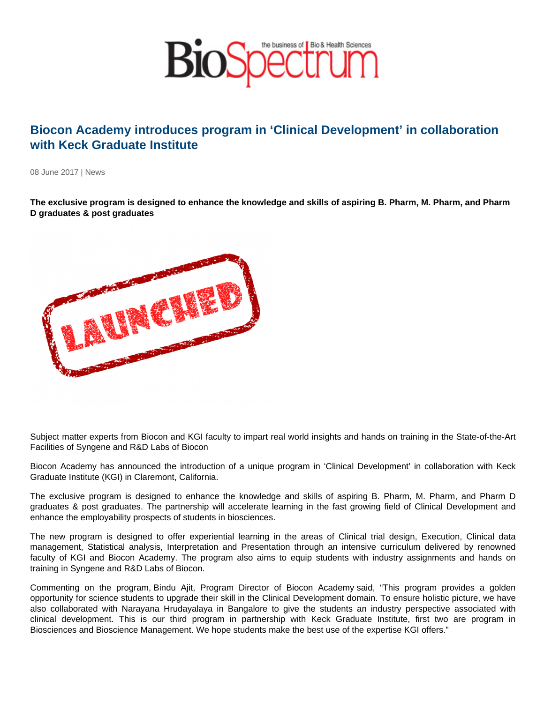## Biocon Academy introduces program in 'Clinical Development' in collaboration with Keck Graduate Institute

08 June 2017 | News

The exclusive program is designed to enhance the knowledge and skills of aspiring B. Pharm, M. Pharm, and Pharm D graduates & post graduates

Subject matter experts from Biocon and KGI faculty to impart real world insights and hands on training in the State-of-the-Art Facilities of Syngene and R&D Labs of Biocon

Biocon Academy has announced the introduction of a unique program in 'Clinical Development' in collaboration with Keck Graduate Institute (KGI) in Claremont, California.

The exclusive program is designed to enhance the knowledge and skills of aspiring B. Pharm, M. Pharm, and Pharm D graduates & post graduates. The partnership will accelerate learning in the fast growing field of Clinical Development and enhance the employability prospects of students in biosciences.

The new program is designed to offer experiential learning in the areas of Clinical trial design, Execution, Clinical data management, Statistical analysis, Interpretation and Presentation through an intensive curriculum delivered by renowned faculty of KGI and Biocon Academy. The program also aims to equip students with industry assignments and hands on training in Syngene and R&D Labs of Biocon.

Commenting on the program, Bindu Ajit, Program Director of Biocon Academy said, "This program provides a golden opportunity for science students to upgrade their skill in the Clinical Development domain. To ensure holistic picture, we have also collaborated with Narayana Hrudayalaya in Bangalore to give the students an industry perspective associated with clinical development. This is our third program in partnership with Keck Graduate Institute, first two are program in Biosciences and Bioscience Management. We hope students make the best use of the expertise KGI offers."